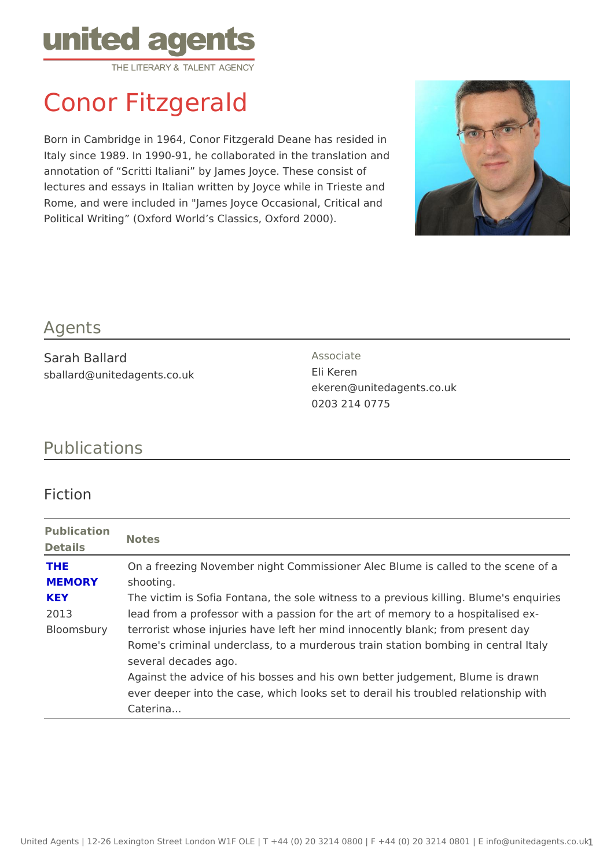# Conor Fitzgerald

Born in Cambridge in 1964, Conor Fitzgerald Deane has resided in Italy since 1989. In 1990-91, he collaborated in the translation and annotation of Scritti Italiani by James Joyce. These consist of lectures and essays in Italian written by Joyce while in Trieste and Rome, and were included in "James Joyce Occasional, Critical and Political Writing (Oxford World s Classics, Oxford 2000).

### Agents

Sarah Ballard sballard@unitedagents.co.uk Associate Eli Keren ekeren@unitedagents.co.uk 0203 214 0775

# Publications

## Fiction

| Publication<br>Notes |                                                                              |
|----------------------|------------------------------------------------------------------------------|
| Details              |                                                                              |
| THE                  | On a freezing November night Commissioner Alec Blume is called               |
| MEMORY               | shooting.                                                                    |
| KEY                  | The victim is Sofia Fontana, the sole witness to a previous killing          |
| 2013                 | lead from a professor with a passion for the art of memory to a ho           |
|                      | Bloomsburyterrorist whose injuries have left her mind innocently blank; from |
|                      | Rome's criminal underclass, to a murderous train station bombing             |
|                      | several decades ago.                                                         |
|                      | Against the advice of his bosses and his own better judgement, BI            |
|                      | ever deeper into the case, which looks set to derail his troubled r          |
|                      | Caterina                                                                     |